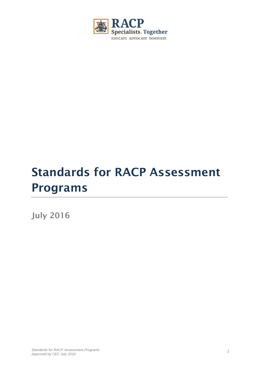

# **Standards for RACP Assessment Programs**

**July 2016**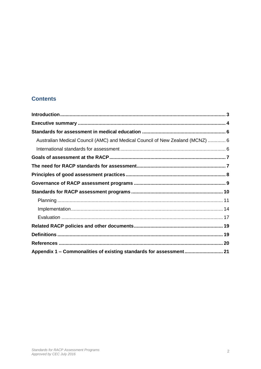## **Contents**

| Australian Medical Council (AMC) and Medical Council of New Zealand (MCNZ)  6 |  |
|-------------------------------------------------------------------------------|--|
|                                                                               |  |
|                                                                               |  |
|                                                                               |  |
|                                                                               |  |
|                                                                               |  |
|                                                                               |  |
|                                                                               |  |
|                                                                               |  |
|                                                                               |  |
|                                                                               |  |
|                                                                               |  |
|                                                                               |  |
|                                                                               |  |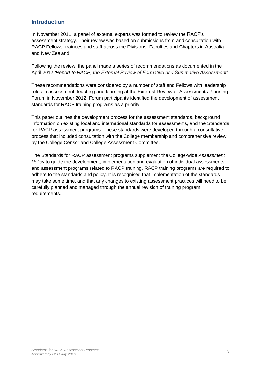## <span id="page-2-0"></span>**Introduction**

In November 2011, a panel of external experts was formed to review the RACP's assessment strategy. Their review was based on submissions from and consultation with RACP Fellows, trainees and staff across the Divisions, Faculties and Chapters in Australia and New Zealand.

Following the review, the panel made a series of recommendations as documented in the April 2012 *'Report to RACP, the External Review of Formative and Summative Assessment'.*

These recommendations were considered by a number of staff and Fellows with leadership roles in assessment, teaching and learning at the External Review of Assessments Planning Forum in November 2012. Forum participants identified the development of assessment standards for RACP training programs as a priority.

This paper outlines the development process for the assessment standards, background information on existing local and international standards for assessments, and the Standards for RACP assessment programs. These standards were developed through a consultative process that included consultation with the College membership and comprehensive review by the College Censor and College Assessment Committee.

The Standards for RACP assessment programs supplement the College-wide *Assessment Policy* to guide the development, implementation and evaluation of individual assessments and assessment programs related to RACP training. RACP training programs are required to adhere to the standards and policy. It is recognised that implementation of the standards may take some time, and that any changes to existing assessment practices will need to be carefully planned and managed through the annual revision of training program requirements.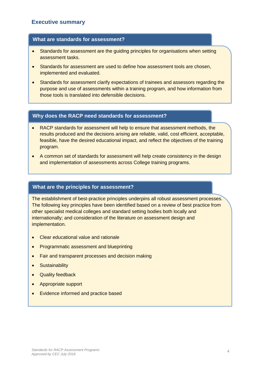#### <span id="page-3-0"></span>**What are standards for assessment?**

- Standards for assessment are the guiding principles for organisations when setting assessment tasks.
- Standards for assessment are used to define how assessment tools are chosen, implemented and evaluated.
- Standards for assessment clarify expectations of trainees and assessors regarding the purpose and use of assessments within a training program, and how information from those tools is translated into defensible decisions.

#### **Why does the RACP need standards for assessment?**

- RACP standards for assessment will help to ensure that assessment methods, the results produced and the decisions arising are reliable, valid, cost efficient, acceptable, feasible, have the desired educational impact, and reflect the objectives of the training program.
- A common set of standards for assessment will help create consistency in the design and implementation of assessments across College training programs.

#### **What are the principles for assessment?**

The establishment of best-practice principles underpins all robust assessment processes. The following key principles have been identified based on a review of best practice from other specialist medical colleges and standard setting bodies both locally and internationally; and consideration of the literature on assessment design and implementation.

- Clear educational value and rationale
- Programmatic assessment and blueprinting
- Fair and transparent processes and decision making
- Sustainability
- Quality feedback
- Appropriate support
- Evidence informed and practice based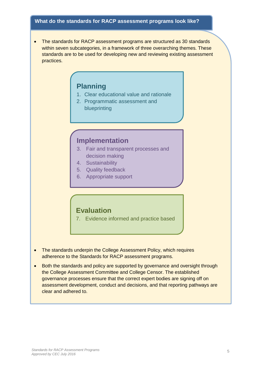#### **What do the standards for RACP assessment programs look like?**

• The standards for RACP assessment programs are structured as 30 standards within seven subcategories, in a framework of three overarching themes. These standards are to be used for developing new and reviewing existing assessment practices.

# **Planning**

- 1. Clear educational value and rationale
- 2. Programmatic assessment and blueprinting

## **Implementation**

- 3. Fair and transparent processes and decision making
- 4. Sustainability
- 5. Quality feedback
- 6. Appropriate support

## **Evaluation**

7. Evidence informed and practice based

- The standards underpin the College Assessment Policy, which requires adherence to the Standards for RACP assessment programs.
- Both the standards and policy are supported by governance and oversight through the College Assessment Committee and College Censor. The established governance processes ensure that the correct expert bodies are signing off on assessment development, conduct and decisions, and that reporting pathways are clear and adhered to.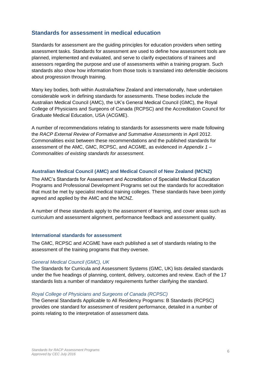## <span id="page-5-0"></span>**Standards for assessment in medical education**

Standards for assessment are the guiding principles for education providers when setting assessment tasks. Standards for assessment are used to define how assessment tools are planned, implemented and evaluated, and serve to clarify expectations of trainees and assessors regarding the purpose and use of assessments within a training program. Such standards also show how information from those tools is translated into defensible decisions about progression through training.

Many key bodies, both within Australia/New Zealand and internationally, have undertaken considerable work in defining standards for assessments. These bodies include the Australian Medical Council (AMC), the UK's General Medical Council (GMC), the Royal College of Physicians and Surgeons of Canada (RCPSC) and the Accreditation Council for Graduate Medical Education, USA (ACGME).

A number of recommendations relating to standards for assessments were made following the *RACP External Review of Formative and Summative Assessments* in April 2012. Commonalities exist between these recommendations and the published standards for assessment of the AMC, GMC, RCPSC, and ACGME, as evidenced in *[Appendix](#page-20-0) 1 – [Commonalities of existing standards for assessment.](#page-20-0)*

#### <span id="page-5-1"></span>**Australian Medical Council (AMC) and Medical Council of New Zealand (MCNZ)**

The AMC's Standards for Assessment and Accreditation of Specialist Medical Education Programs and Professional Development Programs set out the standards for accreditation that must be met by specialist medical training colleges. These standards have been jointly agreed and applied by the AMC and the MCNZ.

A number of these standards apply to the assessment of learning, and cover areas such as curriculum and assessment alignment, performance feedback and assessment quality*.* 

#### <span id="page-5-2"></span>**International standards for assessment**

The GMC, RCPSC and ACGME have each published a set of standards relating to the assessment of the training programs that they oversee.

#### *General Medical Council (GMC), UK*

The Standards for Curricula and Assessment Systems (GMC, UK) lists detailed standards under the five headings of planning, content, delivery, outcomes and review. Each of the 17 standards lists a number of mandatory requirements further clarifying the standard.

#### *Royal College of Physicians and Surgeons of Canada (RCPSC)*

The General Standards Applicable to All Residency Programs: B Standards (RCPSC) provides one standard for assessment of resident performance, detailed in a number of points relating to the interpretation of assessment data.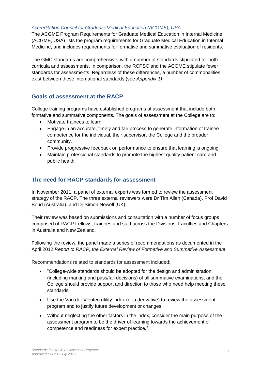#### *Accreditation Council for Graduate Medical Education (ACGME), USA*

The ACGME Program Requirements for Graduate Medical Education in Internal Medicine (ACGME, USA) lists the program requirements for Graduate Medical Education in Internal Medicine, and includes requirements for formative and summative evaluation of residents.

The GMC standards are comprehensive, with a number of standards stipulated for both curricula and assessments. In comparison, the RCPSC and the ACGME stipulate fewer standards for assessments. Regardless of these differences, a number of commonalities exist between these international standards (see *[Appendix 1\)](#page-20-0)*.

## <span id="page-6-0"></span>**Goals of assessment at the RACP**

College training programs have established programs of assessment that include both formative and summative components. The goals of assessment at the College are to:

- Motivate trainees to learn.
- Engage in an accurate, timely and fair process to generate information of trainee competence for the individual, their supervisor, the College and the broader community.
- Provide progressive feedback on performance to ensure that learning is ongoing.
- Maintain professional standards to promote the highest quality patient care and public health.

## <span id="page-6-1"></span>**The need for RACP standards for assessment**

In November 2011, a panel of external experts was formed to review the assessment strategy of the RACP. The three external reviewers were Dr Tim Allen (Canada), Prof David Boud (Australia), and Dr Simon Newell (UK).

Their review was based on submissions and consultation with a number of focus groups comprised of RACP Fellows, trainees and staff across the Divisions, Faculties and Chapters in Australia and New Zealand.

Following the review, the panel made a series of recommendations as documented in the April 2012 *Report to RACP, the External Review of Formative and Summative Assessment*.

Recommendations related to standards for assessment included:

- "College-wide standards should be adopted for the design and administration (including marking and pass/fail decisions) of all summative examinations, and the College should provide support and direction to those who need help meeting these standards.
- Use the Van der Vleuten utility index (or a derivative) to review the assessment program and to justify future development or changes.
- Without neglecting the other factors in the index, consider the main purpose of the assessment program to be the driver of learning towards the achievement of competence and readiness for expert practice."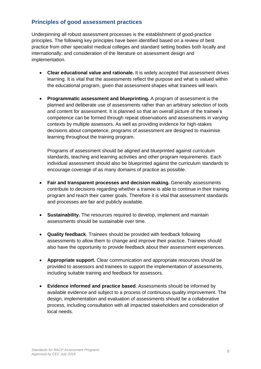## <span id="page-7-0"></span>**Principles of good assessment practices**

Underpinning all robust assessment processes is the establishment of good-practice principles. The following key principles have been identified based on a review of best practice from other specialist medical colleges and standard setting bodies both locally and internationally; and consideration of the literature on assessment design and implementation.

- **Clear educational value and rationale.** It is widely accepted that assessment drives learning. It is vital that the assessments reflect the purpose and what is valued within the educational program, given that assessment shapes what trainees will learn.
- **Programmatic assessment and blueprinting.** A program of assessment is the planned and deliberate use of assessments rather than an arbitrary selection of tools and content for assessment. It is planned so that an overall picture of the trainee's competence can be formed through repeat observations and assessments in varying contexts by multiple assessors. As well as providing evidence for high-stakes decisions about competence, programs of assessment are designed to maximise learning throughout the training program.

Programs of assessment should be aligned and blueprinted against curriculum standards, teaching and learning activities and other program requirements. Each individual assessment should also be blueprinted against the curriculum standards to encourage coverage of as many domains of practice as possible.

- **Fair and transparent processes and decision making.** Generally assessments contribute to decisions regarding whether a trainee is able to continue in their training program and reach their career goals. Therefore it is vital that assessment standards and processes are fair and publicly available.
- **Sustainability.** The resources required to develop, implement and maintain assessments should be sustainable over time.
- **Quality feedback**. Trainees should be provided with feedback following assessments to allow them to change and improve their practice. Trainees should also have the opportunity to provide feedback about their assessment experiences.
- **Appropriate support.** Clear communication and appropriate resources should be provided to assessors and trainees to support the implementation of assessments, including suitable training and feedback for assessors.
- **Evidence informed and practice based**. Assessments should be informed by available evidence and subject to a process of continuous quality improvement. The design, implementation and evaluation of assessments should be a collaborative process, including consultation with all impacted stakeholders and consideration of local needs.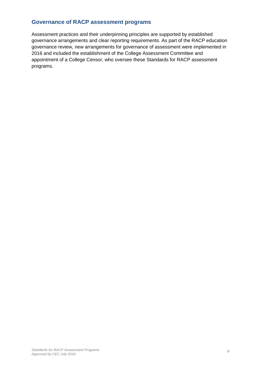## <span id="page-8-0"></span>**Governance of RACP assessment programs**

Assessment practices and their underpinning principles are supported by established governance arrangements and clear reporting requirements. As part of the RACP education governance review, new arrangements for governance of assessment were implemented in 2016 and included the establishment of the College Assessment Committee and appointment of a College Censor, who oversee these Standards for RACP assessment programs.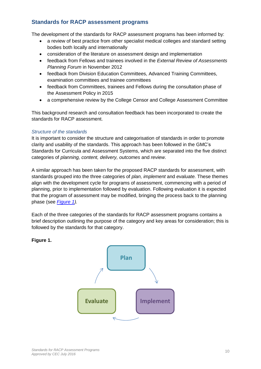## <span id="page-9-0"></span>**Standards for RACP assessment programs**

The development of the standards for RACP assessment programs has been informed by:

- a review of best practice from other specialist medical colleges and standard setting bodies both locally and internationally
- consideration of the literature on assessment design and implementation
- feedback from Fellows and trainees involved in the *External Review of Assessments Planning Forum* in November 2012
- feedback from Division Education Committees, Advanced Training Committees, examination committees and trainee committees
- feedback from Committees, trainees and Fellows during the consultation phase of the Assessment Policy in 2015
- a comprehensive review by the College Censor and College Assessment Committee

This background research and consultation feedback has been incorporated to create the standards for RACP assessment.

#### *Structure of the standards*

It is important to consider the structure and categorisation of standards in order to promote clarity and usability of the standards. This approach has been followed in the GMC's Standards for Curricula and Assessment Systems, which are separated into the five distinct categories of *planning, content, delivery, outcomes* and *review*.

A similar approach has been taken for the proposed RACP standards for assessment, with standards grouped into the three categories of *plan, implement* and *evaluate.* These themes align with the development cycle for programs of assessment, commencing with a period of planning, prior to implementation followed by evaluation. Following evaluation it is expected that the program of assessment may be modified, bringing the process back to the planning phase (see *[Figure](#page-9-1) 1).*

Each of the three categories of the standards for RACP assessment programs contains a brief description outlining the purpose of the category and key areas for consideration; this is followed by the standards for that category.

<span id="page-9-1"></span>**Figure 1.**

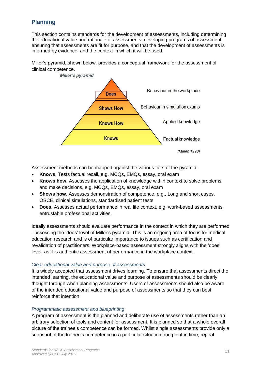## <span id="page-10-0"></span>**Planning**

This section contains standards for the development of assessments, including determining the educational value and rationale of assessments, developing programs of assessment, ensuring that assessments are fit for purpose, and that the development of assessments is informed by evidence, and the context in which it will be used.

Miller's pyramid, shown below, provides a conceptual framework for the assessment of clinical competence.



Assessment methods can be mapped against the various tiers of the pyramid:

- **Knows**. Tests factual recall, e.g. MCQs, EMQs, essay, oral exam
- **Knows how.** Assesses the application of knowledge within context to solve problems and make decisions, e.g. MCQs, EMQs, essay, oral exam
- **Shows how.** Assesses demonstration of competence, e.g., Long and short cases, OSCE, clinical simulations, standardised patient tests
- **Does.** Assesses actual performance in real life context, e.g. work-based assessments, entrustable professional activities.

Ideally assessments should evaluate performance in the context in which they are performed - assessing the 'does' level of Miller's pyramid. This is an ongoing area of focus for medical education research and is of particular importance to issues such as certification and revalidation of practitioners. Workplace-based assessment strongly aligns with the 'does' level, as it is authentic assessment of performance in the workplace context.

#### *Clear educational value and purpose of assessments*

It is widely accepted that assessment drives learning. To ensure that assessments direct the intended learning, the educational value and purpose of assessments should be clearly thought through when planning assessments. Users of assessments should also be aware of the intended educational value and purpose of assessments so that they can best reinforce that intention.

#### *Programmatic assessment and blueprinting*

A program of assessment is the planned and deliberate use of assessments rather than an arbitrary selection of tools and content for assessment. It is planned so that a whole overall picture of the trainee's competence can be formed. Whilst single assessments provide only a snapshot of the trainee's competence in a particular situation and point in time, repeat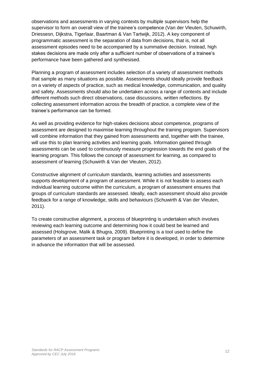observations and assessments in varying contexts by multiple supervisors help the supervisor to form an overall view of the trainee's competence (Van der Vleuten, Schuwirth, Driessesn, Dijkstra, Tigerlaar, Baartman & Van Tartwijk, 2012). A key component of programmatic assessment is the separation of data from decisions, that is, not all assessment episodes need to be accompanied by a summative decision. Instead, high stakes decisions are made only after a sufficient number of observations of a trainee's performance have been gathered and synthesised.

Planning a program of assessment includes selection of a variety of assessment methods that sample as many situations as possible. Assessments should ideally provide feedback on a variety of aspects of practice, such as medical knowledge, communication, and quality and safety. Assessments should also be undertaken across a range of contexts and include different methods such direct observations, case discussions, written reflections. By collecting assessment information across the breadth of practice, a complete view of the trainee's performance can be formed.

As well as providing evidence for high-stakes decisions about competence, programs of assessment are designed to maximise learning throughout the training program. Supervisors will combine information that they gained from assessments and, together with the trainee, will use this to plan learning activities and learning goals. Information gained through assessments can be used to continuously measure progression towards the end goals of the learning program. This follows the concept of assessment *for* learning, as compared to assessment *of* learning (Schuwirth & Van der Vleuten, 2012).

Constructive alignment of curriculum standards, learning activities and assessments supports development of a program of assessment. While it is not feasible to assess each individual learning outcome within the curriculum, a program of assessment ensures that groups of curriculum standards are assessed. Ideally, each assessment should also provide feedback for a range of knowledge, skills and behaviours (Schuwirth & Van der Vleuten, 2011).

To create constructive alignment, a process of blueprinting is undertaken which involves reviewing each learning outcome and determining how it could best be learned and assessed (Holsgrove, Malik & Bhugra, 2009). Blueprinting is a tool used to define the parameters of an assessment task or program before it is developed, in order to determine in advance the information that will be assessed.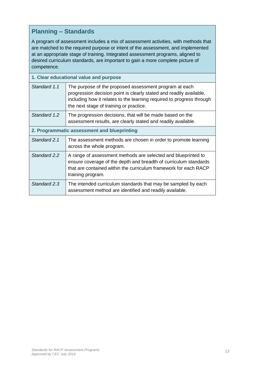## **Planning – Standards**

A program of assessment includes a mix of assessment activities, with methods that are matched to the required purpose or intent of the assessment, and implemented at an appropriate stage of training. Integrated assessment programs, aligned to desired curriculum standards, are important to gain a more complete picture of competence.

| 1. Clear educational value and purpose      |                                                                                                                                                                                                                                                   |  |  |  |
|---------------------------------------------|---------------------------------------------------------------------------------------------------------------------------------------------------------------------------------------------------------------------------------------------------|--|--|--|
| Standard 1.1                                | The purpose of the proposed assessment program at each<br>progression decision point is clearly stated and readily available,<br>including how it relates to the learning required to progress through<br>the next stage of training or practice. |  |  |  |
| Standard 1.2                                | The progression decisions, that will be made based on the<br>assessment results, are clearly stated and readily available.                                                                                                                        |  |  |  |
| 2. Programmatic assessment and blueprinting |                                                                                                                                                                                                                                                   |  |  |  |
| Standard 2.1                                | The assessment methods are chosen in order to promote learning<br>across the whole program.                                                                                                                                                       |  |  |  |
| Standard 2.2                                | A range of assessment methods are selected and blueprinted to<br>ensure coverage of the depth and breadth of curriculum standards<br>that are contained within the curriculum framework for each RACP<br>training program.                        |  |  |  |
| Standard 2.3                                | The intended curriculum standards that may be sampled by each<br>assessment method are identified and readily available.                                                                                                                          |  |  |  |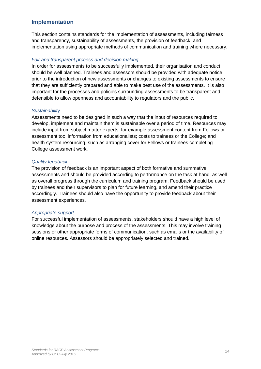## <span id="page-13-0"></span>**Implementation**

This section contains standards for the implementation of assessments, including fairness and transparency, sustainability of assessments, the provision of feedback, and implementation using appropriate methods of communication and training where necessary.

#### *Fair and transparent process and decision making*

In order for assessments to be successfully implemented, their organisation and conduct should be well planned. Trainees and assessors should be provided with adequate notice prior to the introduction of new assessments or changes to existing assessments to ensure that they are sufficiently prepared and able to make best use of the assessments. It is also important for the processes and policies surrounding assessments to be transparent and defensible to allow openness and accountability to regulators and the public.

#### *Sustainability*

Assessments need to be designed in such a way that the input of resources required to develop, implement and maintain them is sustainable over a period of time. Resources may include input from subject matter experts, for example assessment content from Fellows or assessment tool information from educationalists; costs to trainees or the College; and health system resourcing, such as arranging cover for Fellows or trainees completing College assessment work.

#### *Quality feedback*

The provision of feedback is an important aspect of both formative and summative assessments and should be provided according to performance on the task at hand, as well as overall progress through the curriculum and training program. Feedback should be used by trainees and their supervisors to plan for future learning, and amend their practice accordingly. Trainees should also have the opportunity to provide feedback about their assessment experiences.

#### *Appropriate support*

For successful implementation of assessments, stakeholders should have a high level of knowledge about the purpose and process of the assessments. This may involve training sessions or other appropriate forms of communication, such as emails or the availability of online resources. Assessors should be appropriately selected and trained.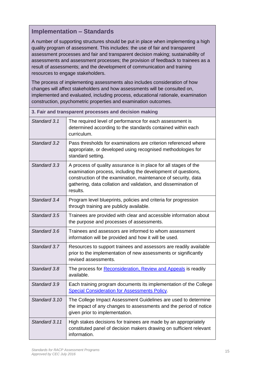## **Implementation – Standards**

A number of supporting structures should be put in place when implementing a high quality program of assessment. This includes: the use of fair and transparent assessment processes and fair and transparent decision making; sustainability of assessments and assessment processes; the provision of feedback to trainees as a result of assessments; and the development of communication and training resources to engage stakeholders.

The process of implementing assessments also includes consideration of how changes will affect stakeholders and how assessments will be consulted on, implemented and evaluated, including process, educational rationale, examination construction, psychometric properties and examination outcomes.

| 3. Fair and transparent processes and decision making |                                                                                                                                                                                                                                                                                  |  |  |  |
|-------------------------------------------------------|----------------------------------------------------------------------------------------------------------------------------------------------------------------------------------------------------------------------------------------------------------------------------------|--|--|--|
| Standard 3.1                                          | The required level of performance for each assessment is<br>determined according to the standards contained within each<br>curriculum.                                                                                                                                           |  |  |  |
| Standard 3.2                                          | Pass thresholds for examinations are criterion referenced where<br>appropriate, or developed using recognised methodologies for<br>standard setting.                                                                                                                             |  |  |  |
| Standard 3.3                                          | A process of quality assurance is in place for all stages of the<br>examination process, including the development of questions,<br>construction of the examination, maintenance of security, data<br>gathering, data collation and validation, and dissemination of<br>results. |  |  |  |
| Standard 3.4                                          | Program level blueprints, policies and criteria for progression<br>through training are publicly available.                                                                                                                                                                      |  |  |  |
| Standard 3.5                                          | Trainees are provided with clear and accessible information about<br>the purpose and processes of assessments.                                                                                                                                                                   |  |  |  |
| Standard 3.6                                          | Trainees and assessors are informed to whom assessment<br>information will be provided and how it will be used.                                                                                                                                                                  |  |  |  |
| Standard 3.7                                          | Resources to support trainees and assessors are readily available<br>prior to the implementation of new assessments or significantly<br>revised assessments.                                                                                                                     |  |  |  |
| Standard 3.8                                          | The process for Reconsideration, Review and Appeals is readily<br>available.                                                                                                                                                                                                     |  |  |  |
| Standard 3.9                                          | Each training program documents its implementation of the College<br><b>Special Consideration for Assessments Policy.</b>                                                                                                                                                        |  |  |  |
| Standard 3.10                                         | The College Impact Assessment Guidelines are used to determine<br>the impact of any changes to assessments and the period of notice<br>given prior to implementation.                                                                                                            |  |  |  |
| Standard 3.11                                         | High stakes decisions for trainees are made by an appropriately<br>constituted panel of decision makers drawing on sufficient relevant<br>information.                                                                                                                           |  |  |  |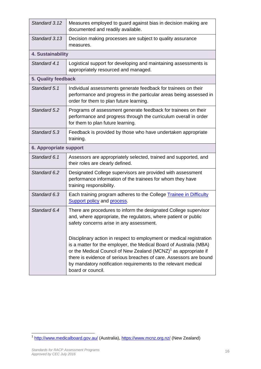| Standard 3.12                 | Measures employed to guard against bias in decision making are<br>documented and readily available.                                                                                                                                                                                                                                                                                    |  |  |  |
|-------------------------------|----------------------------------------------------------------------------------------------------------------------------------------------------------------------------------------------------------------------------------------------------------------------------------------------------------------------------------------------------------------------------------------|--|--|--|
| Standard 3.13                 | Decision making processes are subject to quality assurance<br>measures.                                                                                                                                                                                                                                                                                                                |  |  |  |
| 4. Sustainability             |                                                                                                                                                                                                                                                                                                                                                                                        |  |  |  |
| Standard 4.1                  | Logistical support for developing and maintaining assessments is<br>appropriately resourced and managed.                                                                                                                                                                                                                                                                               |  |  |  |
| 5. Quality feedback           |                                                                                                                                                                                                                                                                                                                                                                                        |  |  |  |
| Standard 5.1                  | Individual assessments generate feedback for trainees on their<br>performance and progress in the particular areas being assessed in<br>order for them to plan future learning.                                                                                                                                                                                                        |  |  |  |
| Standard 5.2                  | Programs of assessment generate feedback for trainees on their<br>performance and progress through the curriculum overall in order<br>for them to plan future learning.                                                                                                                                                                                                                |  |  |  |
| Standard 5.3                  | Feedback is provided by those who have undertaken appropriate<br>training.                                                                                                                                                                                                                                                                                                             |  |  |  |
| <b>6. Appropriate support</b> |                                                                                                                                                                                                                                                                                                                                                                                        |  |  |  |
| Standard 6.1                  | Assessors are appropriately selected, trained and supported, and<br>their roles are clearly defined.                                                                                                                                                                                                                                                                                   |  |  |  |
| Standard 6.2                  | Designated College supervisors are provided with assessment<br>performance information of the trainees for whom they have<br>training responsibility.                                                                                                                                                                                                                                  |  |  |  |
| Standard 6.3                  | Each training program adheres to the College Trainee in Difficulty<br><b>Support policy and process.</b>                                                                                                                                                                                                                                                                               |  |  |  |
| Standard 6.4                  | There are procedures to inform the designated College supervisor<br>and, where appropriate, the regulators, where patient or public<br>safety concerns arise in any assessment.                                                                                                                                                                                                        |  |  |  |
|                               | Disciplinary action in respect to employment or medical registration<br>is a matter for the employer, the Medical Board of Australia (MBA)<br>or the Medical Council of New Zealand (MCNZ) <sup>1</sup> as appropriate if<br>there is evidence of serious breaches of care. Assessors are bound<br>by mandatory notification requirements to the relevant medical<br>board or council. |  |  |  |

 1 <http://www.medicalboard.gov.au/> (Australia),<https://www.mcnz.org.nz/> (New Zealand)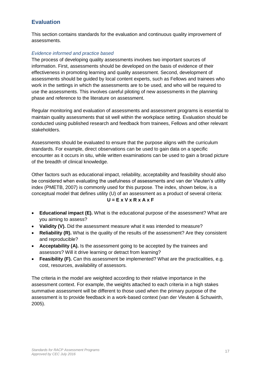## <span id="page-16-0"></span>**Evaluation**

This section contains standards for the evaluation and continuous quality improvement of assessments.

#### *Evidence informed and practice based*

The process of developing quality assessments involves two important sources of information. First, assessments should be developed on the basis of evidence of their effectiveness in promoting learning and quality assessment. Second, development of assessments should be guided by local content experts, such as Fellows and trainees who work in the settings in which the assessments are to be used, and who will be required to use the assessments. This involves careful piloting of new assessments in the planning phase and reference to the literature on assessment.

Regular monitoring and evaluation of assessments and assessment programs is essential to maintain quality assessments that sit well within the workplace setting. Evaluation should be conducted using published research and feedback from trainees, Fellows and other relevant stakeholders.

Assessments should be evaluated to ensure that the purpose aligns with the curriculum standards. For example, direct observations can be used to gain data on a specific encounter as it occurs in situ, while written examinations can be used to gain a broad picture of the breadth of clinical knowledge.

Other factors such as educational impact, reliability, acceptability and feasibility should also be considered when evaluating the usefulness of assessments and van der Vleuten's utility index (PMETB, 2007) is commonly used for this purpose. The index, shown below, is a conceptual model that defines utility (U) of an assessment as a product of several criteria:

#### **U = E x V x R x A x F**

- **Educational impact (E).** What is the educational purpose of the assessment? What are you aiming to assess?
- **Validity (V).** Did the assessment measure what it was intended to measure?
- **Reliability (R).** What is the quality of the results of the assessment? Are they consistent and reproducible?
- **Acceptability (A).** Is the assessment going to be accepted by the trainees and assessors? Will it drive learning or detract from learning?
- **Feasibility (F).** Can this assessment be implemented? What are the practicalities, e.g. cost, resources, availability of assessors.

The criteria in the model are weighted according to their relative importance in the assessment context. For example, the weights attached to each criteria in a high stakes summative assessment will be different to those used when the primary purpose of the assessment is to provide feedback in a work-based context (van der Vleuten & Schuwirth, 2005).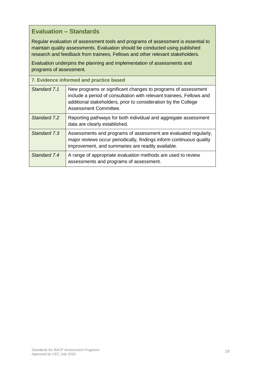## **Evaluation – Standards**

Regular evaluation of assessment tools and programs of assessment is essential to maintain quality assessments. Evaluation should be conducted using published research and feedback from trainees, Fellows and other relevant stakeholders.

Evaluation underpins the planning and implementation of assessments and programs of assessment.

| 7. Evidence informed and practice based |                                                                                                                                                                                                                                  |  |  |
|-----------------------------------------|----------------------------------------------------------------------------------------------------------------------------------------------------------------------------------------------------------------------------------|--|--|
| Standard 7.1                            | New programs or significant changes to programs of assessment<br>include a period of consultation with relevant trainees, Fellows and<br>additional stakeholders, prior to consideration by the College<br>Assessment Committee. |  |  |
| Standard 7.2                            | Reporting pathways for both individual and aggregate assessment<br>data are clearly established.                                                                                                                                 |  |  |
| Standard 7.3                            | Assessments and programs of assessment are evaluated regularly,<br>major reviews occur periodically, findings inform continuous quality<br>improvement, and summaries are readily available.                                     |  |  |
| Standard 7.4                            | A range of appropriate evaluation methods are used to review<br>assessments and programs of assessment.                                                                                                                          |  |  |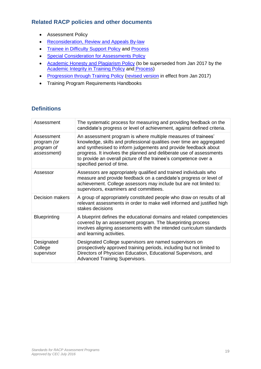## <span id="page-18-0"></span>**Related RACP policies and other documents**

- **•** Assessment Policy
- [Reconsideration,](https://www.racp.edu.au/docs/default-source/default-document-library/reconsideration-review-and-appeals-by-law.pdf?sfvrsn=2) Review and Appeals By-law
- Trainee in [Difficulty](https://www.racp.edu.au/docs/default-source/default-document-library/pol-trainee-in-difficulty-support.pdf?sfvrsn=2) Support Policy and [Process](https://www.racp.edu.au/docs/default-source/default-document-library/trainees-in-difficulty-support-process.pdf?sfvrsn=0)
- Special [Consideration](https://www.racp.edu.au/docs/default-source/default-document-library/special-consideration-assessments-policy-edu-assessment-2-download-policy.pdf?sfvrsn=2) for Assessments Policy
- Academic Honesty and [Plagiarism](https://www.racp.edu.au/docs/default-source/default-document-library/academic-honesty-and-plagiarism-policy.pdf?sfvrsn=0) Policy (to be superseded from Jan 2017 by the [Academic](https://www.racp.edu.au/docs/default-source/default-document-library/academic-integrity-in-training-policy.pdf?sfvrsn=0) Integrity in Training Policy and [Process\)](https://www.racp.edu.au/docs/default-source/default-document-library/academic-integrity-in-training-process.pdf?sfvrsn=0)
- [Progression](https://www.racp.edu.au/docs/default-source/default-document-library/progression-through-training-policy.pdf?sfvrsn=6) through Training Policy [\(revised](https://www.racp.edu.au/docs/default-source/pdfs/download-progression-through-training-policy.pdf?sfvrsn=0) version in effect from Jan 2017)
- Training Program Requirements Handbooks

## <span id="page-18-1"></span>**Definitions**

| Assessment                                             | The systematic process for measuring and providing feedback on the<br>candidate's progress or level of achievement, against defined criteria.                                                                                                                                                                                                                                     |
|--------------------------------------------------------|-----------------------------------------------------------------------------------------------------------------------------------------------------------------------------------------------------------------------------------------------------------------------------------------------------------------------------------------------------------------------------------|
| Assessment<br>program (or<br>program of<br>assessment) | An assessment program is where multiple measures of trainees'<br>knowledge, skills and professional qualities over time are aggregated<br>and synthesised to inform judgements and provide feedback about<br>progress. It involves the planned and deliberate use of assessments<br>to provide an overall picture of the trainee's competence over a<br>specified period of time. |
| Assessor                                               | Assessors are appropriately qualified and trained individuals who<br>measure and provide feedback on a candidate's progress or level of<br>achievement. College assessors may include but are not limited to:<br>supervisors, examiners and committees.                                                                                                                           |
| <b>Decision makers</b>                                 | A group of appropriately constituted people who draw on results of all<br>relevant assessments in order to make well informed and justified high<br>stakes decisions                                                                                                                                                                                                              |
| <b>Blueprinting</b>                                    | A blueprint defines the educational domains and related competencies<br>covered by an assessment program. The blueprinting process<br>involves aligning assessments with the intended curriculum standards<br>and learning activities.                                                                                                                                            |
| Designated<br>College<br>supervisor                    | Designated College supervisors are named supervisors on<br>prospectively approved training periods, including but not limited to<br>Directors of Physician Education, Educational Supervisors, and<br><b>Advanced Training Supervisors.</b>                                                                                                                                       |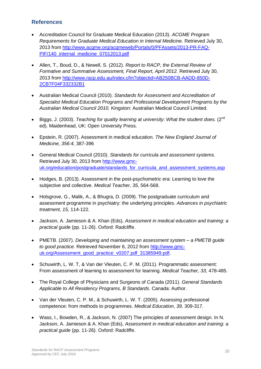### <span id="page-19-0"></span>**References**

- Accreditation Council for Graduate Medical Education (2013). *ACGME Program Requirements for Graduate Medical Education in Internal Medicine.* Retrieved July 30, 2013 from [http://www.acgme.org/acgmeweb/Portals/0/PFAssets/2013-PR-FAQ-](http://www.acgme.org/acgmeweb/Portals/0/PFAssets/2013-PR-FAQ-PIF/140_internal_medicine_07012013.pdf)[PIF/140\\_internal\\_medicine\\_07012013.pdf](http://www.acgme.org/acgmeweb/Portals/0/PFAssets/2013-PR-FAQ-PIF/140_internal_medicine_07012013.pdf)
- Allen, T., Boud, D., & Newell, S. (2012). *Report to RACP, the External Review of Formative and Summative Assessment, Final Report, April 2012.* Retrieved July 30, 2013 from [http://www.racp.edu.au/index.cfm?objectid=AB250BCB-AADD-850D-](http://www.racp.edu.au/index.cfm?objectid=AB250BCB-AADD-850D-2CB7F04F332332B1)[2CB7F04F332332B1](http://www.racp.edu.au/index.cfm?objectid=AB250BCB-AADD-850D-2CB7F04F332332B1)
- Australian Medical Council (2010). *Standards for Assessment and Accreditation of Specialist Medical Education Programs and Professional Development Programs by the Australian Medical Council 2010.* Kingston: Australian Medical Council Limited.
- Biggs, J. (2003). *Teaching for quality learning at university: What the student does.* (2nd ed). Maidenhead, UK: Open University Press.
- Epstein, R. (2007). Assessment in medical education. *The New England Journal of Medicine, 356:4,* 387-396
- General Medical Council (2010). *Standards for curricula and assessment systems.*  Retrieved July 30, 2013 from [http://www.gmc](http://www.gmc-uk.org/education/postgraduate/standards_for_curricula_and_assessment_systems.asp)uk.org/education/postgraduate/standards for curricula and assessment systems.asp
- Hodges, B. (2013). Assessment in the post-psychometric era: Learning to love the subjective and collective. *Medical Teacher, 35,* 564-568.
- Holsgrove, G., Malik, A., & Bhugra, D. (2009). The postgraduate curriculum and assessment programme in psychiatry: the underlying principles. *Advances in psychiatric treatment, 15,* 114-122.
- Jackson, A. Jamieson & A. Khan (Eds), *Assessment in medical education and training: a practical guide* (pp. 11-26). Oxford: Radcliffe.
- PMETB. (2007). *Developing and maintaining an assessment system – a PMETB guide to good practice.* Retrieved November 6, 2012 from [http://www.gmc](http://www.gmc-uk.org/Assessment_good_practice_v0207.pdf_31385949.pdf)[uk.org/Assessment\\_good\\_practice\\_v0207.pdf\\_31385949.pdf.](http://www.gmc-uk.org/Assessment_good_practice_v0207.pdf_31385949.pdf)
- Schuwirth, L. W. T, & Van der Vleuten, C. P. M. (2011). Programmatic assessment: From assessment of learning to assessment for learning. *Medical Teacher, 33,* 478-485.
- The Royal College of Physicians and Surgeons of Canada (2011). *General Standards Applicable to All Residency Programs, B Standards*. Canada: Author.
- Van der Vleuten, C. P. M., & Schuwirth, L. W. T. (2005). Assessing professional competence: from methods to programmes. *Medical Education, 39,* 309-317.
- Wass, I., Bowden, R., & Jackson, N. (2007) The principles of assessment design. In N. Jackson, A. Jamieson & A. Khan (Eds), *Assessment in medical education and training: a practical guide* (pp. 11-26). Oxford: Radcliffe.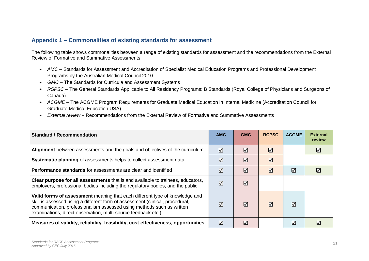## **Appendix 1 – Commonalities of existing standards for assessment**

The following table shows commonalities between a range of existing standards for assessment and the recommendations from the External Review of Formative and Summative Assessments.

- *AMC –* Standards for Assessment and Accreditation of Specialist Medical Education Programs and Professional Development Programs by the Australian Medical Council 2010
- *GMC –* The Standards for Curricula and Assessment Systems
- *RSPSC –* The General Standards Applicable to All Residency Programs: B Standards (Royal College of Physicians and Surgeons of Canada)
- *ACGME –* The ACGME Program Requirements for Graduate Medical Education in Internal Medicine (Accreditation Council for Graduate Medical Education USA)
- *External review –* Recommendations from the External Review of Formative and Summative Assessments

<span id="page-20-0"></span>

| <b>Standard / Recommendation</b>                                                                                                                                                                                                                                                                       | <b>AMC</b> | <b>GMC</b> | <b>RCPSC</b> | <b>ACGME</b> | <b>External</b><br>review |
|--------------------------------------------------------------------------------------------------------------------------------------------------------------------------------------------------------------------------------------------------------------------------------------------------------|------------|------------|--------------|--------------|---------------------------|
| Alignment between assessments and the goals and objectives of the curriculum                                                                                                                                                                                                                           | ☑          | м          | ☑            |              | M                         |
| Systematic planning of assessments helps to collect assessment data                                                                                                                                                                                                                                    | ✓          | ✓          | ☑            |              |                           |
| <b>Performance standards</b> for assessments are clear and identified                                                                                                                                                                                                                                  | ✓          | ☑          | ✓            | ✓            | M                         |
| Clear purpose for all assessments that is and available to trainees, educators,<br>employers, professional bodies including the regulatory bodies, and the public                                                                                                                                      | ✓          | ⋁          |              |              |                           |
| Valid forms of assessment meaning that each different type of knowledge and<br>skill is assessed using a different form of assessment (clinical, procedural,<br>communication, professionalism assessed using methods such as written<br>examinations, direct observation, multi-source feedback etc.) | ☑          | ✓          | ✓            | ∨            |                           |
| Measures of validity, reliability, feasibility, cost effectiveness, opportunities                                                                                                                                                                                                                      | ☑          | ✓          |              | ✓            |                           |